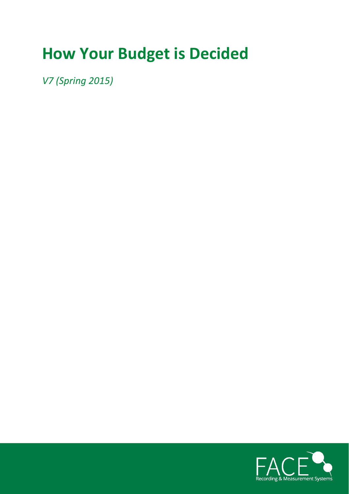# **How Your Budget is Decided**

*V7 (Spring 2015)*

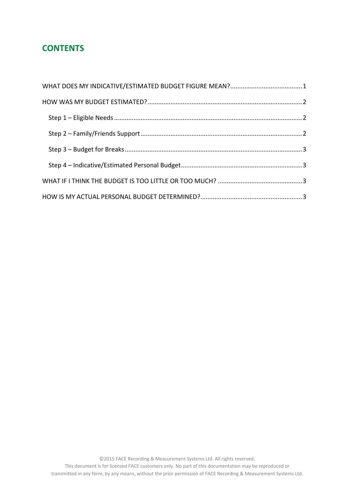## **CONTENTS**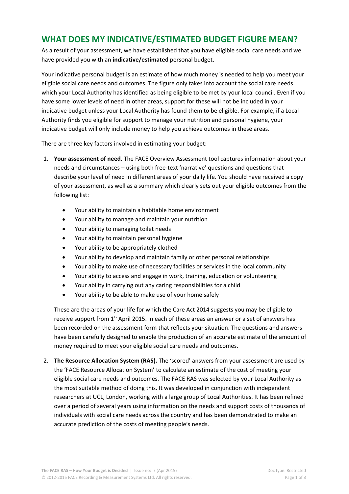# **WHAT DOES MY INDICATIVE/ESTIMATED BUDGET FIGURE MEAN?**

As a result of your assessment, we have established that you have eligible social care needs and we have provided you with an **indicative/estimated** personal budget.

Your indicative personal budget is an estimate of how much money is needed to help you meet your eligible social care needs and outcomes. The figure only takes into account the social care needs which your Local Authority has identified as being eligible to be met by your local council. Even if you have some lower levels of need in other areas, support for these will not be included in your indicative budget unless your Local Authority has found them to be eligible. For example, if a Local Authority finds you eligible for support to manage your nutrition and personal hygiene, your indicative budget will only include money to help you achieve outcomes in these areas.

There are three key factors involved in estimating your budget:

- 1. **Your assessment of need.** The FACE Overview Assessment tool captures information about your needs and circumstances – using both free‐text 'narrative' questions and questions that describe your level of need in different areas of your daily life. You should have received a copy of your assessment, as well as a summary which clearly sets out your eligible outcomes from the following list:
	- Your ability to maintain a habitable home environment
	- Your ability to manage and maintain your nutrition
	- Your ability to managing toilet needs
	- Your ability to maintain personal hygiene
	- Your ability to be appropriately clothed
	- Your ability to develop and maintain family or other personal relationships
	- Your ability to make use of necessary facilities or services in the local community
	- Your ability to access and engage in work, training, education or volunteering
	- Your ability in carrying out any caring responsibilities for a child
	- Your ability to be able to make use of your home safely

These are the areas of your life for which the Care Act 2014 suggests you may be eligible to receive support from  $1<sup>st</sup>$  April 2015. In each of these areas an answer or a set of answers has been recorded on the assessment form that reflects your situation. The questions and answers have been carefully designed to enable the production of an accurate estimate of the amount of money required to meet your eligible social care needs and outcomes.

2. **The Resource Allocation System (RAS).** The 'scored' answers from your assessment are used by the 'FACE Resource Allocation System' to calculate an estimate of the cost of meeting your eligible social care needs and outcomes. The FACE RAS was selected by your Local Authority as the most suitable method of doing this. It was developed in conjunction with independent researchers at UCL, London, working with a large group of Local Authorities. It has been refined over a period of several years using information on the needs and support costs of thousands of individuals with social care needs across the country and has been demonstrated to make an accurate prediction of the costs of meeting people's needs.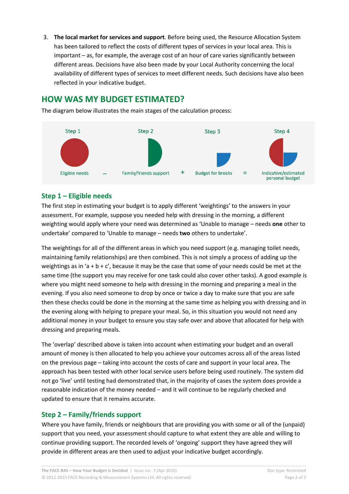3. **The local market for services and support**. Before being used, the Resource Allocation System has been tailored to reflect the costs of different types of services in your local area. This is important – as, for example, the average cost of an hour of care varies significantly between different areas. Decisions have also been made by your Local Authority concerning the local availability of different types of services to meet different needs. Such decisions have also been reflected in your indicative budget.

## **HOW WAS MY BUDGET ESTIMATED?**

The diagram below illustrates the main stages of the calculation process:



### **Step 1 – Eligible needs**

The first step in estimating your budget is to apply different 'weightings' to the answers in your assessment. For example, suppose you needed help with dressing in the morning, a different weighting would apply where your need was determined as 'Unable to manage – needs **one** other to undertake' compared to 'Unable to manage – needs **two** others to undertake'.

The weightings for all of the different areas in which you need support (e.g. managing toilet needs, maintaining family relationships) are then combined. This is not simply a process of adding up the weightings as in 'a + b + c', because it may be the case that some of your needs could be met at the same time (the support you may receive for one task could also cover other tasks). A good example is where you might need someone to help with dressing in the morning and preparing a meal in the evening. If you also need someone to drop by once or twice a day to make sure that you are safe then these checks could be done in the morning at the same time as helping you with dressing and in the evening along with helping to prepare your meal. So, in this situation you would not need any additional money in your budget to ensure you stay safe over and above that allocated for help with dressing and preparing meals.

The 'overlap' described above is taken into account when estimating your budget and an overall amount of money is then allocated to help you achieve your outcomes across all of the areas listed on the previous page – taking into account the costs of care and support in your local area. The approach has been tested with other local service users before being used routinely. The system did not go 'live' until testing had demonstrated that, in the majority of cases the system does provide a reasonable indication of the money needed – and it will continue to be regularly checked and updated to ensure that it remains accurate.

## **Step 2 – Family/friends support**

Where you have family, friends or neighbours that are providing you with some or all of the (unpaid) support that you need, your assessment should capture to what extent they are able and willing to continue providing support. The recorded levels of 'ongoing' support they have agreed they will provide in different areas are then used to adjust your indicative budget accordingly.